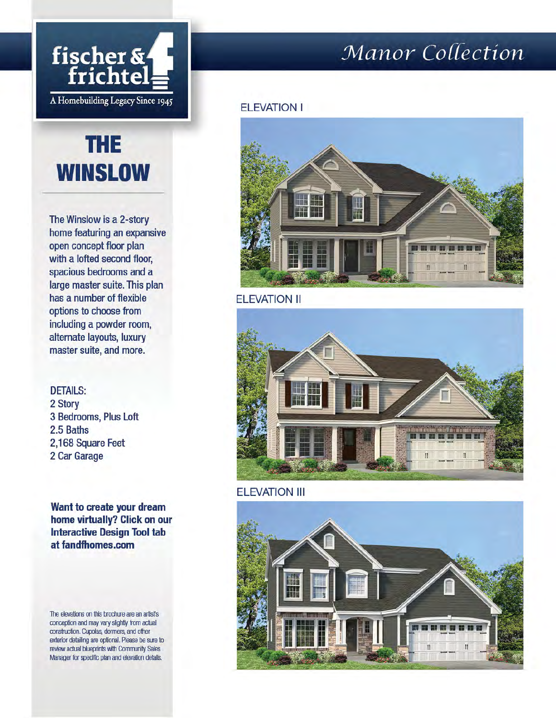

# **THE WINSLOW**

The Winslow is a 2-story home featuring an expansive open concept floor plan with a lofted second floor, spacious bedrooms and a large master suite. This plan has a number of flexible options to choose from including a powder room, alternate layouts, luxury master suite, and more.

**DETAILS:** 2 Story 3 Bedrooms, Plus Loft 2.5 Baths 2,168 Square Feet 2 Car Garage

Want to create your dream home virtually? Click on our **Interactive Design Tool tab** at fandfhomes.com

The elevations on this brochure are an artist's conception and may vary slightly from actual construction. Cupolas, dormers, and other exterior detailing are optional. Please be sure to review actual blueprints with Community Sales Manager for specific plan and elevation details.

## Manor Collection

#### **ELEVATION I**



**ELEVATION II** 



**ELEVATION III** 

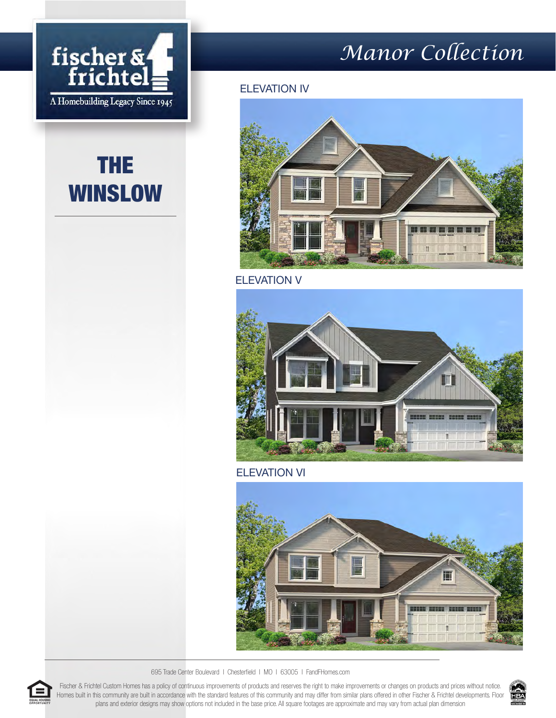

# THE WINSLOW

## *Manor Collection*

#### ELEVATION IV



ELEVATION V



ELEVATION VI



695 Trade Center Boulevard I Chesterfield I MO I 63005 I FandFHomes.com

Fischer & Frichtel Custom Homes has a policy of continuous improvements of products and reserves the right to make improvements or changes on products and prices without notice. Homes built in this community are built in accordance with the standard features of this community and may differ from similar plans offered in other Fischer & Frichtel developments. Floor plans and exterior designs may show options not included in the base price. All square footages are approximate and may vary from actual plan dimension



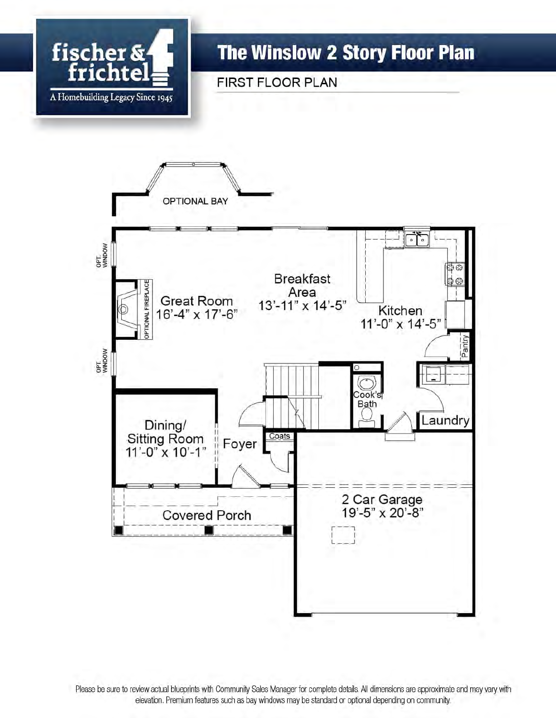

### **The Winslow 2 Story Floor Plan**

FIRST FLOOR PLAN



Please be sure to review actual blueprints with Community Sales Manager for complete details. All dimensions are approximate and may vary with elevation. Premium features such as bay windows may be standard or optional depending on community.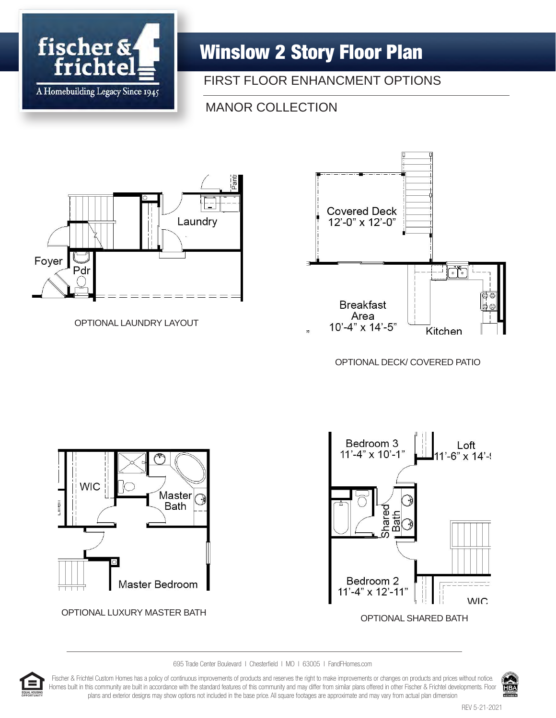

### Winslow 2 Story Floor Plan

#### FIRST FLOOR ENHANCMENT OPTIONS

#### MANOR COLLECTION



OPTIONAL LAUNDRY LAYOUT



OPTIONAL DECK/ COVERED PATIO



695 Trade Center Boulevard I Chesterfield I MO I 63005 I FandFHomes.com



Fischer & Frichtel Custom Homes has a policy of continuous improvements of products and reserves the right to make improvements or changes on products and prices without notice. Homes built in this community are built in accordance with the standard features of this community and may differ from similar plans offered in other Fischer & Frichtel developments. Floor plans and exterior designs may show options not included in the base price. All square footages are approximate and may vary from actual plan dimension

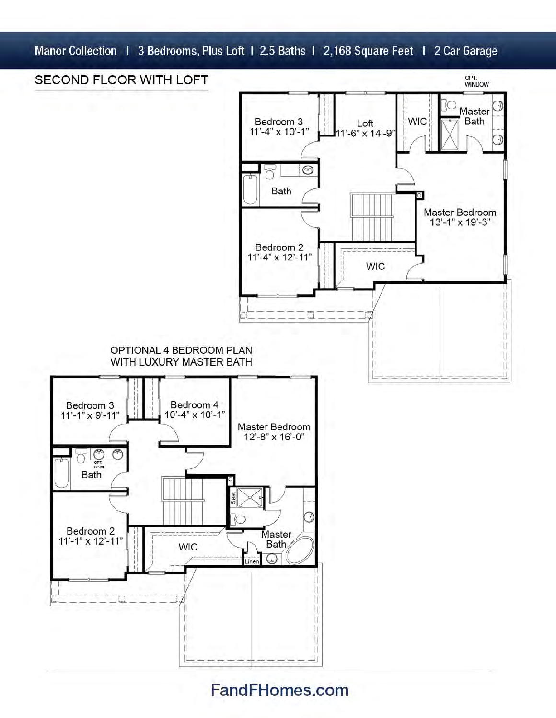Manor Collection | 3 Bedrooms, Plus Loft | 2.5 Baths | 2,168 Square Feet | 2 Car Garage



### FandFHomes.com